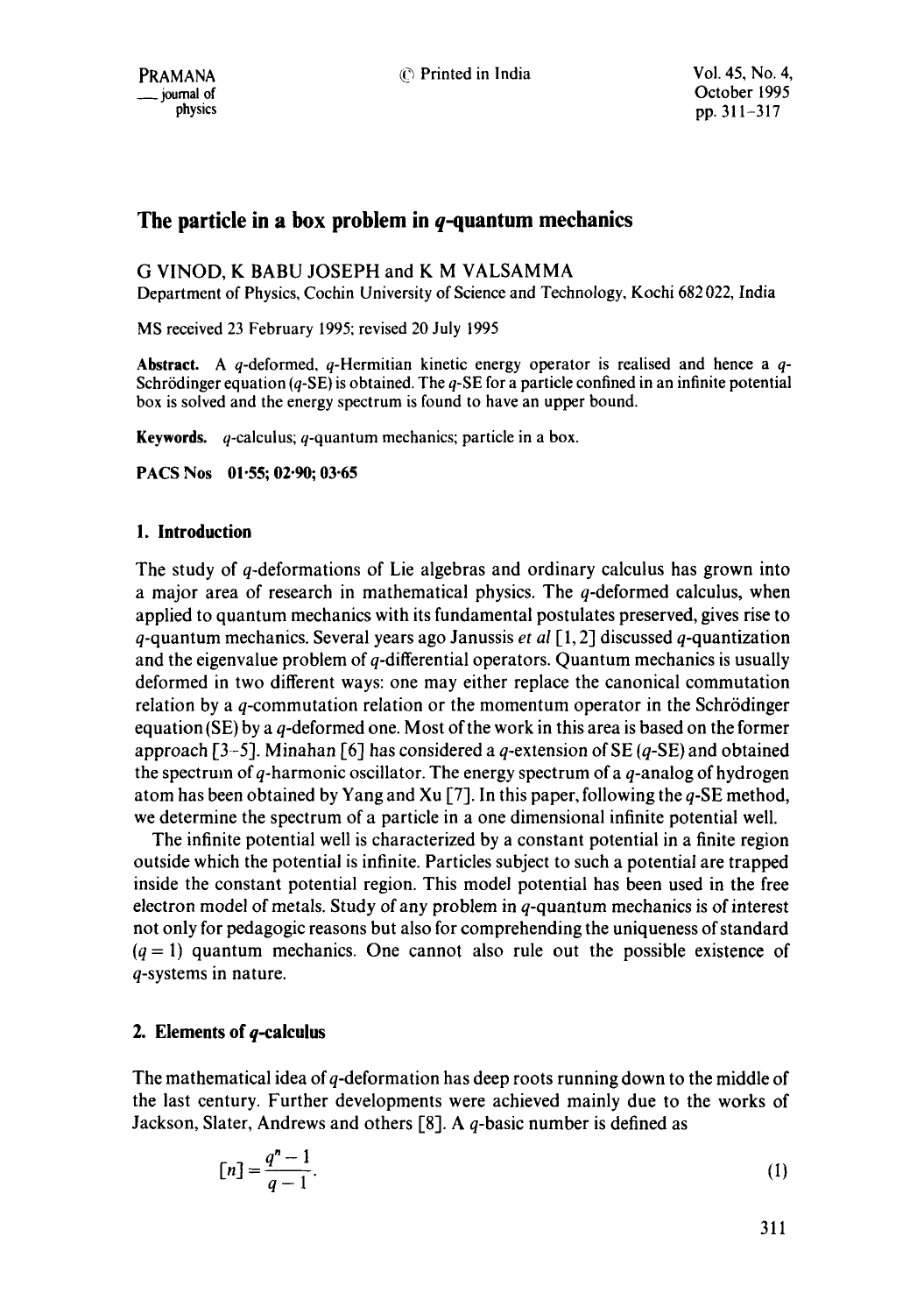# **The particle in a box problem in q-quantum mechanics**

## G VINOD, K BABU JOSEPH and K M VALSAMMA

Department of Physics, Cochin University of Science and Technology, Kochi 682 022, India

MS received 23 February 1995; revised 20 July 1995

**Abstract.** A q-deformed, q-Hermitian kinetic energy operator is realised and hence a q-Schrödinger equation ( $q$ -SE) is obtained. The  $q$ -SE for a particle confined in an infinite potential box is solved and the energy spectrum is found to have an upper bound.

**Keywords.** q-calculus; q-quantum mechanics; particle in a box.

**PACS Nos 01.55; 02.90; 03.65** 

## **I. Introduction**

The study of q-deformations of Lie algebras and ordinary calculus has grown into a major area of research in mathematical physics. The q-deformed calculus, when applied to quantum mechanics with its fundamental postulates preserved, gives rise to q-quantum mechanics. Several years ago Janussis *et al* [1, 2] discussed q-quantization and the eigenvalue problem of q-differential operators. Quantum mechanics is usually deformed in two different ways: one may either replace the canonical commutation relation by a  $q$ -commutation relation or the momentum operator in the Schrödinger equation (SE) by a  $q$ -deformed one. Most of the work in this area is based on the former approach [3-5]. Minahan [6] has considered a q-extension of SE (q-SE) and obtained the spectrum of  $q$ -harmonic oscillator. The energy spectrum of a  $q$ -analog of hydrogen atom has been obtained by Yang and Xu [7]. In this paper, following the q-SE method, we determine the spectrum of a particle in a one dimensional infinite potential well.

The infinite potential well is characterized by a constant potential in a finite region outside which the potential is infinite. Particles subject to such a potential are trapped inside the constant potential region. This model potential has been used in the free electron model of metals. Study of any problem in q-quantum mechanics is of interest not only for pedagogic reasons but also for comprehending the uniqueness of standard  $(q = 1)$  quantum mechanics. One cannot also rule out the possible existence of q-systems in nature.

## **2. Elements of q-calculus**

The mathematical idea of q-deformation has deep roots running down to the middle of the last century. Further developments were achieved mainly due to the works of Jackson, Slater, Andrews and others  $[8]$ . A q-basic number is defined as

$$
[n] = \frac{q^n - 1}{q - 1}.
$$
 (1)

311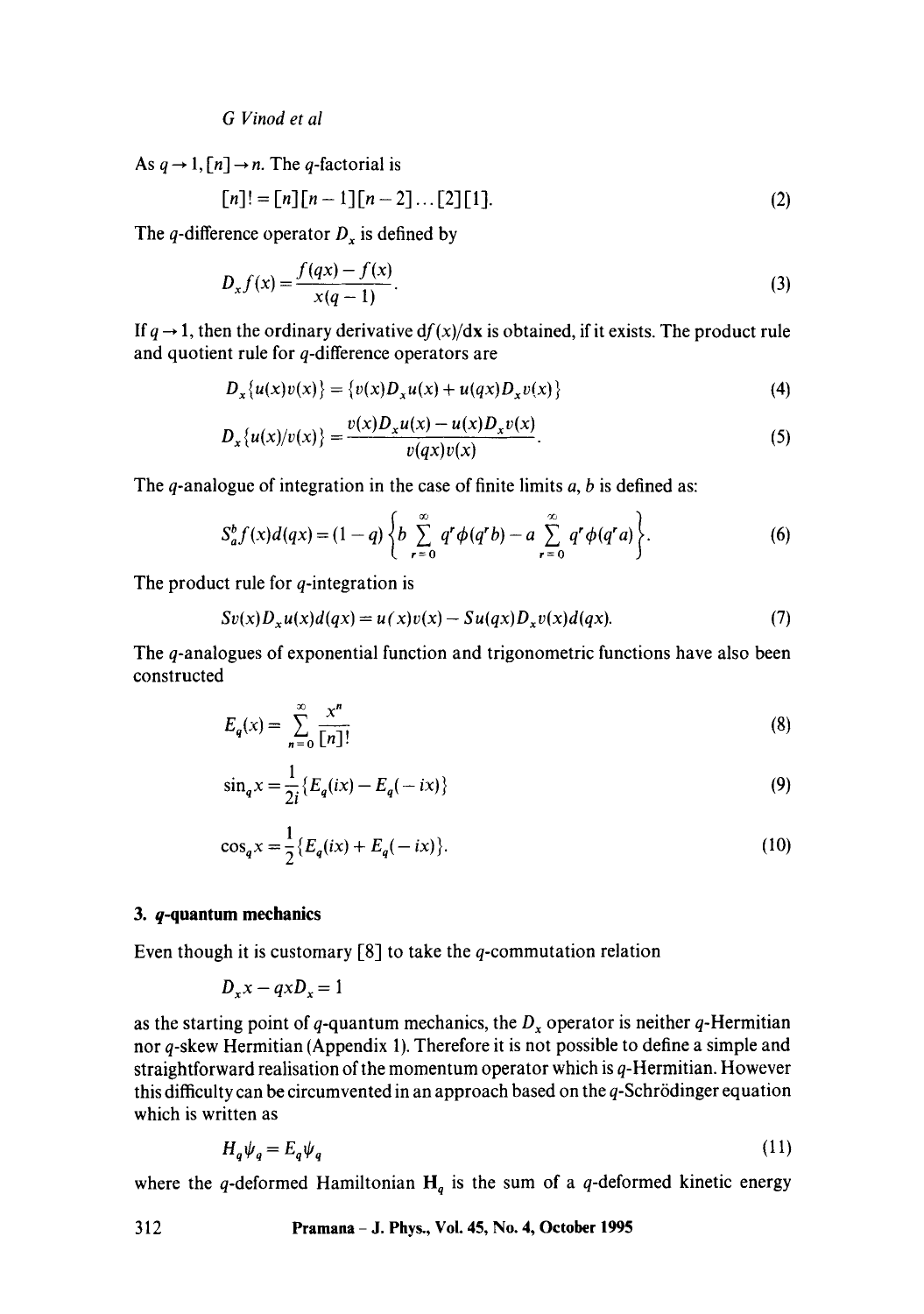*G Vinod et al* 

As  $q \rightarrow 1$ ,  $[n] \rightarrow n$ . The *q*-factorial is

$$
[n]! = [n][n-1][n-2] \dots [2][1]. \tag{2}
$$

The q-difference operator  $D_x$  is defined by

$$
D_x f(x) = \frac{f(qx) - f(x)}{x(q-1)}.
$$
 (3)

If  $q \rightarrow 1$ , then the ordinary derivative  $df(x)/dx$  is obtained, if it exists. The product rule and quotient rule for q-difference operators are

$$
D_x\{u(x)v(x)\} = \{v(x)D_xu(x) + u(qx)D_xv(x)\}\tag{4}
$$

$$
D_x\{u(x)/v(x)\} = \frac{v(x)D_x u(x) - u(x)D_x v(x)}{v(qx)v(x)}.
$$
 (5)

The q-analogue of integration in the case of finite limits  $a, b$  is defined as:

$$
S_a^b f(x) d(qx) = (1-q) \left\{ b \sum_{r=0}^{\infty} q^r \phi(q^r b) - a \sum_{r=0}^{\infty} q^r \phi(q^r a) \right\}.
$$
 (6)

The product rule for  $q$ -integration is

$$
Sv(x)D_xu(x)d(qx) = u(x)v(x) - Su(qx)D_xv(x)d(qx).
$$
\n(7)

The q-analogues of exponential function and trigonometric functions have also been constructed

$$
E_q(x) = \sum_{n=0}^{\infty} \frac{x^n}{\lfloor n \rfloor!}
$$
 (8)

$$
\sin_q x = \frac{1}{2i} \{ E_q(ix) - E_q(-ix) \}
$$
 (9)

$$
\cos_q x = \frac{1}{2} \{ E_q(ix) + E_q(-ix) \}.
$$
 (10)

### **3. q-quantum mechanics**

Even though it is customary  $[8]$  to take the q-commutation relation

$$
D_x x - q x D_x = 1
$$

as the starting point of q-quantum mechanics, the  $D_x$  operator is neither q-Hermitian nor q-skew Hermitian (Appendix 1). Therefore it is not possible to define a simple and straightforward realisation of the momentum operator which is q-Hermitian. However this difficulty can be circumvented in an approach based on the  $q$ -Schrödinger equation which is written as

$$
H_q \psi_q = E_q \psi_q \tag{11}
$$

where the q-deformed Hamiltonian  $H_q$  is the sum of a q-deformed kinetic energy

#### **312 Pramana - J. Phys., Voi. 45, No. 4, October 1995**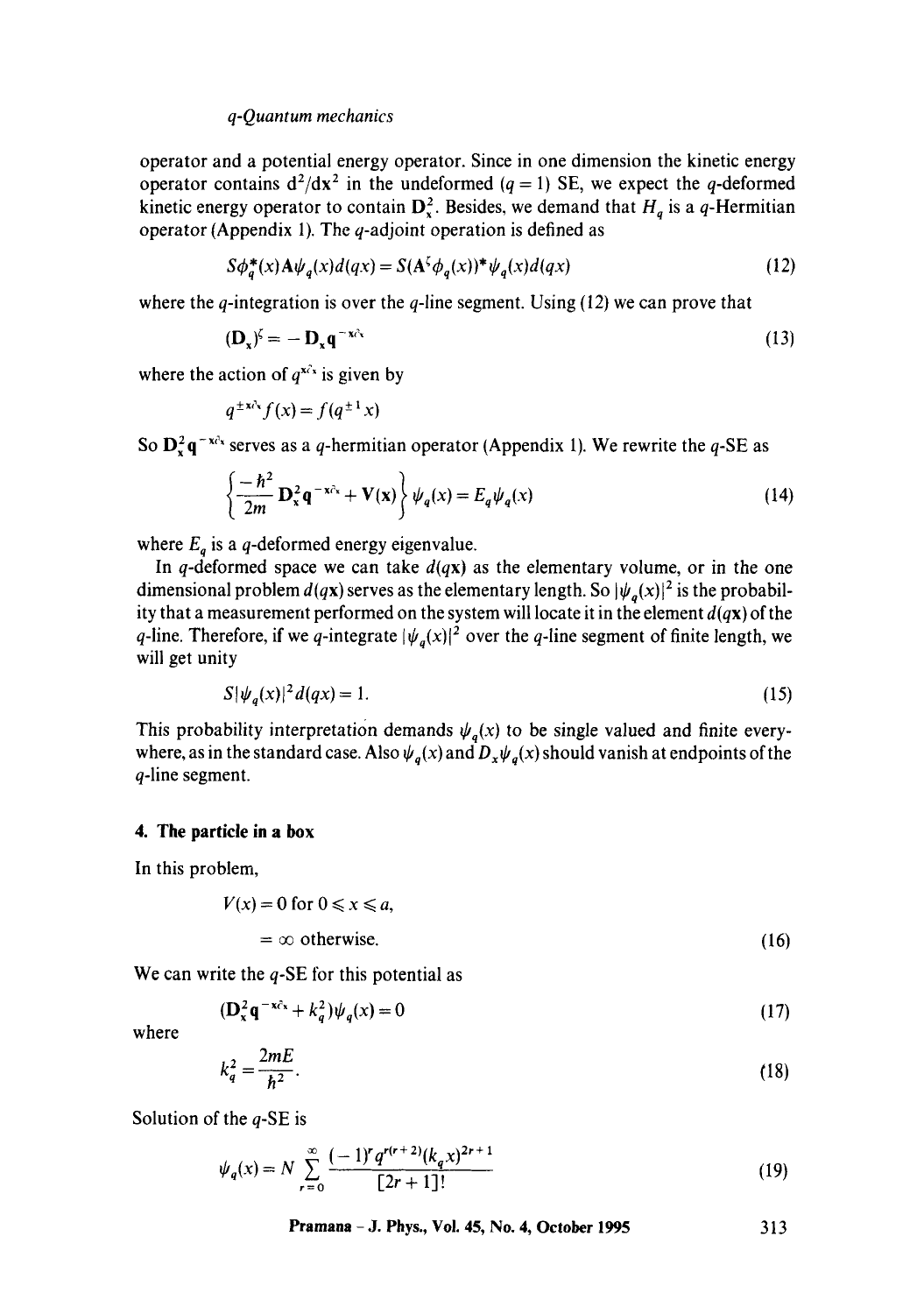#### *q-Quantum mechanics*

operator and a potential energy operator. Since in one dimension the kinetic energy operator contains  $d^2/dx^2$  in the undeformed  $(q = 1)$  SE, we expect the q-deformed kinetic energy operator to contain  $D_x^2$ . Besides, we demand that  $H_q$  is a q-Hermitian operator (Appendix 1). The  $q$ -adjoint operation is defined as

$$
S\phi_q^*(x)A\psi_q(x)d(qx) = S(A^{\zeta}\phi_q(x))^*\psi_q(x)d(qx)
$$
\n(12)

where the q-integration is over the q-line segment. Using (12) we can prove that

$$
(\mathbf{D}_x)^{\zeta} = -\mathbf{D}_x \mathbf{q}^{-x\partial_x} \tag{13}
$$

where the action of  $q^{x \partial x}$  is given by

$$
q^{\pm x\lambda x} f(x) = f(q^{\pm 1} x)
$$

So  $D_x^2 q^{-x}$ <sup> $\alpha$ </sup> serves as a q-hermitian operator (Appendix 1). We rewrite the q-SE as

$$
\left\{-\frac{\hbar^2}{2m}\mathbf{D}_\mathbf{x}^2\mathbf{q}^{-\mathbf{x}c_\mathbf{x}} + \mathbf{V}(\mathbf{x})\right\}\psi_q(x) = E_q\psi_q(x)
$$
\n(14)

where  $E_q$  is a q-deformed energy eigenvalue.

In q-deformed space we can take  $d(qx)$  as the elementary volume, or in the one dimensional problem  $d(qx)$  serves as the elementary length. So  $|\psi_q(x)|^2$  is the probability that a measurement performed on the system will locate it in the element  $d(qx)$  of the q-line. Therefore, if we q-integrate  $|\psi_a(x)|^2$  over the q-line segment of finite length, we will get unity

$$
S|\psi_q(x)|^2 d(qx) = 1. \tag{15}
$$

This probability interpretation demands  $\psi_q(x)$  to be single valued and finite everywhere, as in the standard case. Also  $\psi_q(x)$  and  $D_x\psi_q(x)$  should vanish at endpoints of the q-line segment.

#### **4. The particle in a box**

In this problem,

$$
V(x) = 0 \text{ for } 0 \le x \le a,
$$
  
=  $\infty$  otherwise. (16)

We can write the  $q$ -SE for this potential as

$$
(\mathbf{D}_x^2 \mathbf{q}^{-x\hat{c}_x} + k_q^2) \psi_q(x) = 0 \tag{17}
$$

where

$$
k_q^2 = \frac{2mE}{\hbar^2}.
$$
 (18)

Solution of the  $q$ -SE is

$$
\psi_q(x) = N \sum_{r=0}^{\infty} \frac{(-1)^r q^{r(r+2)} (k_q x)^{2r+1}}{[2r+1]!}
$$
\n(19)

**Pramana** - J. Phys., Vol. 45, No. 4, October 1995 313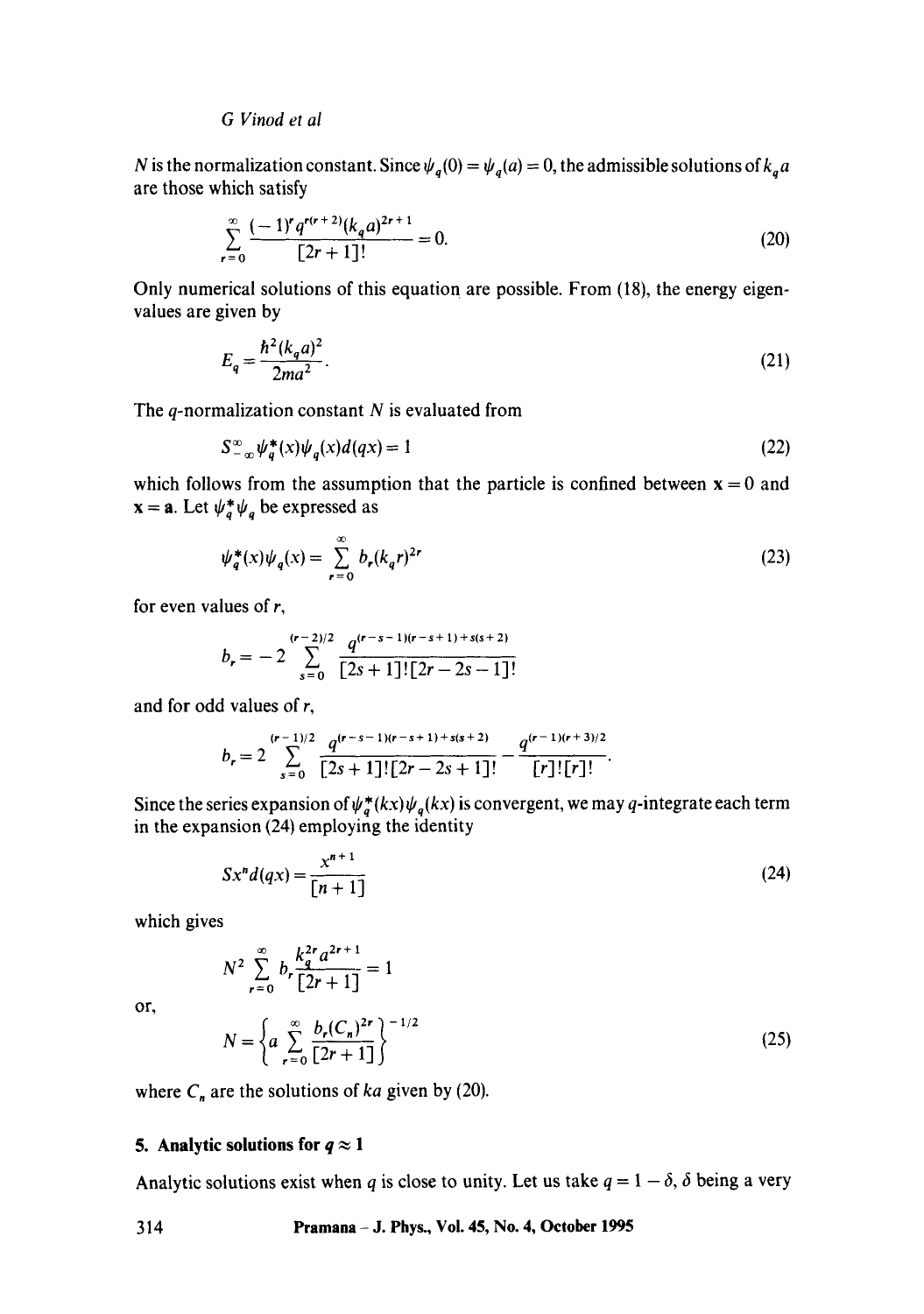### *G Vinod et al*

N is the normalization constant. Since  $\psi_q(0) = \psi_q(a) = 0$ , the admissible solutions of  $k_q a$ are those which satisfy

$$
\sum_{r=0}^{\infty} \frac{(-1)^r q^{r(r+2)} (k_q a)^{2r+1}}{[2r+1]!} = 0.
$$
 (20)

Only numerical solutions of this equation are possible. From (18), the energy eigenvalues are given by

$$
E_q = \frac{\hbar^2 (k_q a)^2}{2m a^2}.
$$
 (21)

The  $q$ -normalization constant  $N$  is evaluated from

$$
S_{-\infty}^{\infty}\psi_{a}^{*}(x)\psi_{a}(x)d(qx) = 1
$$
\n(22)

which follows from the assumption that the particle is confined between  $x = 0$  and  $x = a$ . Let  $\psi_a^* \psi_a$  be expressed as

$$
\psi_q^*(x)\psi_q(x) = \sum_{r=0}^{\infty} b_r (k_q r)^{2r}
$$
 (23)

for even values of r,

$$
b_r = -2 \sum_{s=0}^{(r-2)/2} \frac{q^{(r-s-1)(r-s+1)+s(s+2)}}{[2s+1]![2r-2s-1]!}
$$

and for odd values of r,

$$
b_r = 2 \sum_{s=0}^{(r-1)/2} \frac{q^{(r-s-1)(r-s+1)+s(s+2)}}{[2s+1]![2r-2s+1]!} - \frac{q^{(r-1)(r+3)/2}}{[r]![r]!}.
$$

Since the series expansion of  $\psi_q^*(kx)\psi_q(kx)$  is convergent, we may q-integrate each term in the expansion (24) employing the identity

$$
Sx^{n}d(qx) = \frac{x^{n+1}}{[n+1]}
$$
 (24)

which gives

$$
N^{2} \sum_{r=0}^{\infty} b_{r} \frac{k_{q}^{2r} a^{2r+1}}{[2r+1]} = 1
$$
  

$$
N = \left\{ a \sum_{r=0}^{\infty} \frac{b_{r} (C_{n})^{2r}}{[2r+1]} \right\}^{-1/2}
$$
 (25)

where  $C_n$  are the solutions of *ka* given by (20).

## **5. Analytic solutions for**  $q \approx 1$

Analytic solutions exist when q is close to unity. Let us take  $q = 1 - \delta$ ,  $\delta$  being a very

314 **Pramana - J. Phys., Vol. 45, No. 4, October 1995** 

or,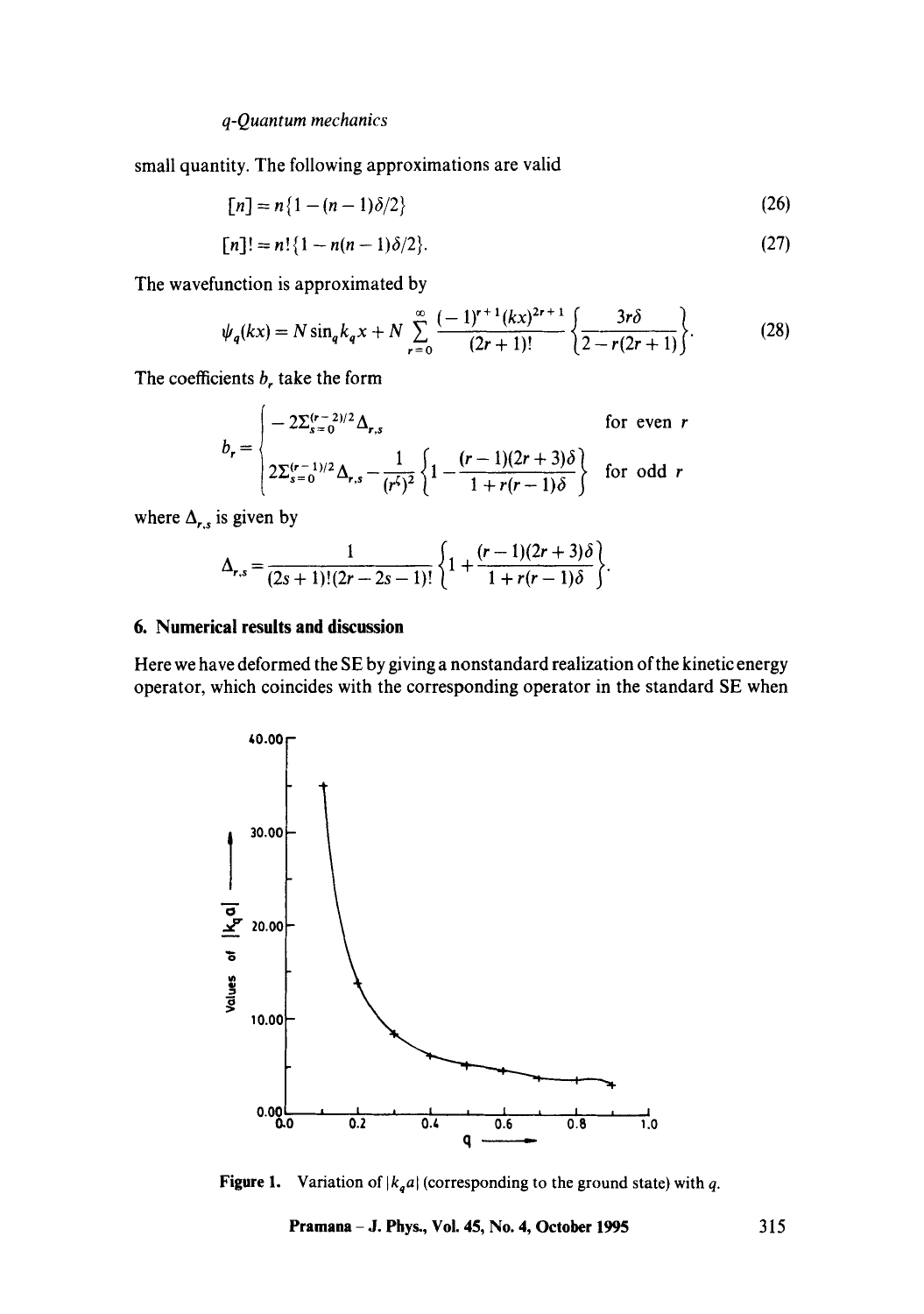*q-Quantum mechanics* 

small quantity. The following approximations are valid

$$
[n] = n\{1 - (n-1)\delta/2\}
$$
 (26)

$$
[n]! = n! \{1 - n(n-1)\delta/2\}.
$$
 (27)

The wavefunction is approximated by

$$
\psi_q(kx) = N \sin_q k_q x + N \sum_{r=0}^{\infty} \frac{(-1)^{r+1} (kx)^{2r+1}}{(2r+1)!} \left\{ \frac{3r\delta}{2 - r(2r+1)} \right\}.
$$
 (28)

The coefficients  $b<sub>r</sub>$  take the form

$$
b_r = \begin{cases}\n-2\sum_{s=0}^{(r-2)/2} \Delta_{r,s} & \text{for even } r \\
2\sum_{s=0}^{(r-1)/2} \Delta_{r,s} - \frac{1}{(r^{\zeta})^2} \left\{ 1 - \frac{(r-1)(2r+3)\delta}{1+r(r-1)\delta} \right\} & \text{for odd } r\n\end{cases}
$$

where  $\Delta_{r,s}$  is given by

$$
\Delta_{r,s} = \frac{1}{(2s+1)!(2r-2s-1)!} \left\{ 1 + \frac{(r-1)(2r+3)\delta}{1+r(r-1)\delta} \right\}.
$$

### **6. Numerical results and discussion**

Here we have deformed the SE by giving a nonstandard realization of the kinetic energy operator, which coincides with the corresponding operator in the standard SE when



**Figure 1.** Variation of  $|k_q a|$  (corresponding to the ground state) with q.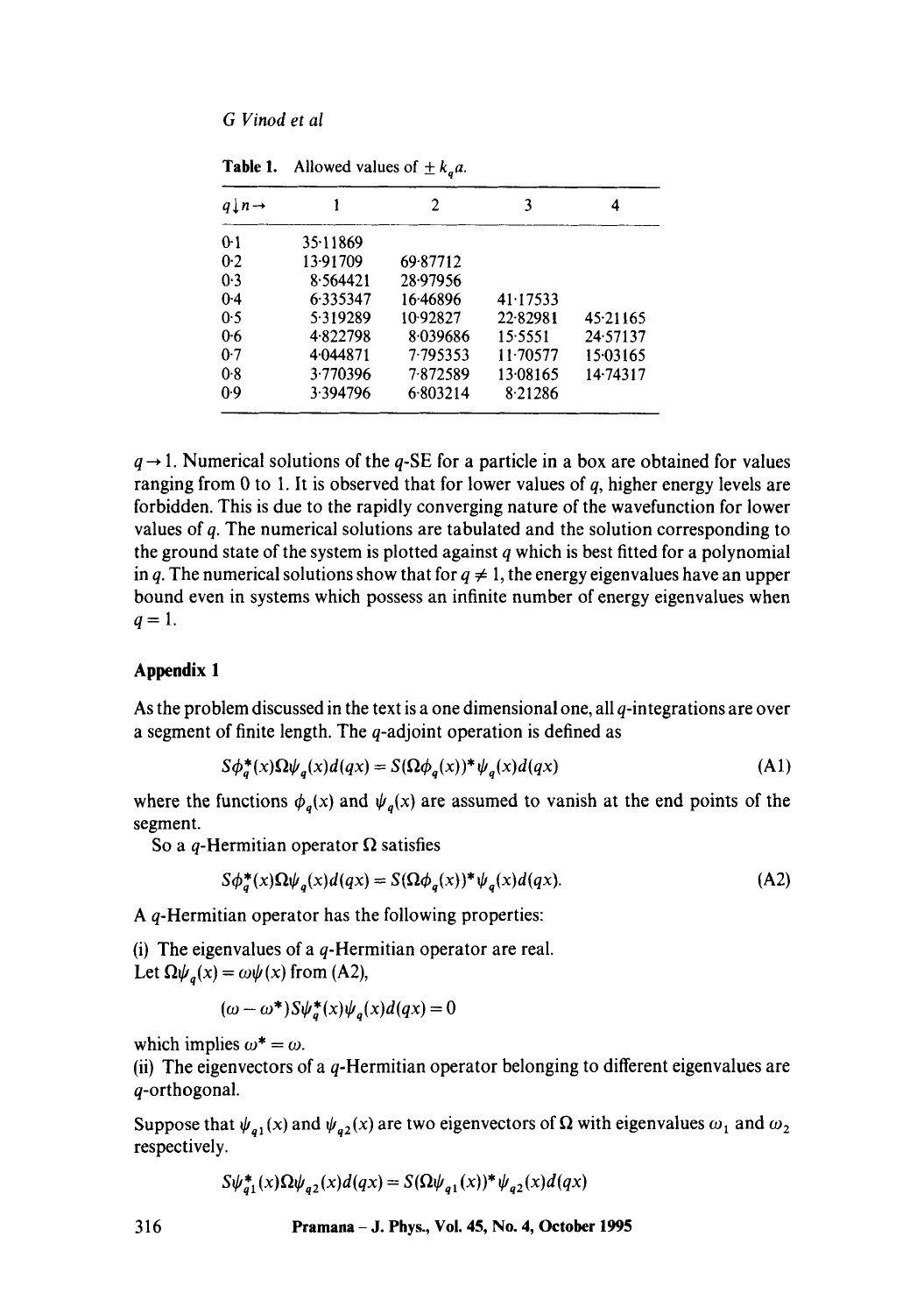| $q \perp n \rightarrow$ |          | 2        | 3        | 4        |
|-------------------------|----------|----------|----------|----------|
| $0-1$                   | 35.11869 |          |          |          |
| 0.2                     | 13.91709 | 69-87712 |          |          |
| 0.3                     | 8.564421 | 28.97956 |          |          |
| 0.4                     | 6.335347 | 16.46896 | 41.17533 |          |
| 0.5                     | 5.319289 | 10.92827 | 22.82981 | 45.21165 |
| 0.6                     | 4.822798 | 8.039686 | 15.5551  | 24.57137 |
| 0.7                     | 4.044871 | 7.795353 | 11.70577 | 15.03165 |
| 0.8                     | 3.770396 | 7872589  | 13.08165 | 14.74317 |
| 0.9                     | 3.394796 | 6.803214 | 8.21286  |          |

**Table 1.** Allowed values of  $\pm k_a a$ .

 $q \rightarrow 1$ . Numerical solutions of the q-SE for a particle in a box are obtained for values ranging from 0 to 1. It is observed that for lower values of  $q$ , higher energy levels are forbidden. This is due to the rapidly converging nature of the wavefunction for lower values of q. The numerical solutions are tabulated and the solution corresponding to the ground state of the system is plotted against  $q$  which is best fitted for a polynomial in q. The numerical solutions show that for  $q \neq 1$ , the energy eigenvalues have an upper bound even in systems which possess an infinite number of energy eigenvalues when  $q=1$ .

## **Appendix I**

As the problem discussed in the text is a one dimensional one, all q-integrations are over a segment of finite length. The q-adjoint operation is defined as

$$
S\phi_a^*(x)\Omega\psi_a(x)d(qx) = S(\Omega\phi_a(x))^*\psi_a(x)d(qx)
$$
\n(A1)

where the functions  $\phi_q(x)$  and  $\psi_q(x)$  are assumed to vanish at the end points of the segment.

So a q-Hermitian operator  $\Omega$  satisfies

$$
S\phi_{a}^{*}(x)\Omega\psi_{a}(x)d(qx) = S(\Omega\phi_{a}(x))^{*}\psi_{a}(x)d(qx).
$$
 (A2)

A q-Hermitian operator has the following properties:

(i) The eigenvalues of a  $q$ -Hermitian operator are real. Let  $\Omega \psi_a(x) = \omega \psi(x)$  from (A2),

$$
(\omega - \omega^*) S \psi_a^*(x) \psi_a(x) d(qx) = 0
$$

which implies  $\omega^* = \omega$ .

(ii) The eigenvectors of a  $q$ -Hermitian operator belonging to different eigenvalues are q-orthogonal.

Suppose that  $\psi_{q1}(x)$  and  $\psi_{q2}(x)$  are two eigenvectors of  $\Omega$  with eigenvalues  $\omega_1$  and  $\omega_2$ respectively.

$$
S\psi_{a1}^*(x)\Omega\psi_{a2}(x)d(qx) = S(\Omega\psi_{a1}(x))^*\psi_{a2}(x)d(qx)
$$